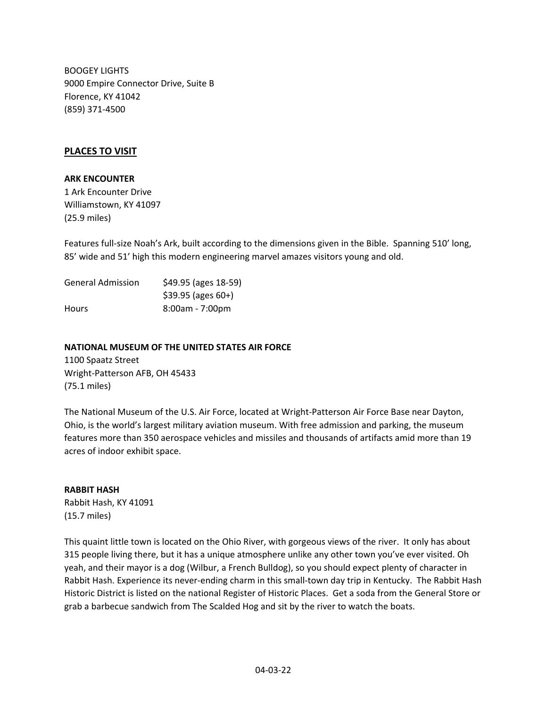BOOGEY LIGHTS 9000 Empire Connector Drive, Suite B Florence, KY 41042 (859) 371‐4500

## **PLACES TO VISIT**

#### **ARK ENCOUNTER**

1 Ark Encounter Drive Williamstown, KY 41097 (25.9 miles)

Features full-size Noah's Ark, built according to the dimensions given in the Bible. Spanning 510' long, 85' wide and 51' high this modern engineering marvel amazes visitors young and old.

| <b>General Admission</b> | \$49.95 (ages 18-59) |
|--------------------------|----------------------|
|                          | $$39.95$ (ages 60+)  |
| <b>Hours</b>             | 8:00am - 7:00pm      |

#### **NATIONAL MUSEUM OF THE UNITED STATES AIR FORCE**

1100 Spaatz Street Wright‐Patterson AFB, OH 45433 (75.1 miles)

The National Museum of the U.S. Air Force, located at Wright‐Patterson Air Force Base near Dayton, Ohio, is the world's largest military aviation museum. With free admission and parking, the museum features more than 350 aerospace vehicles and missiles and thousands of artifacts amid more than 19 acres of indoor exhibit space.

# **RABBIT HASH**

Rabbit Hash, KY 41091 (15.7 miles)

This quaint little town is located on the Ohio River, with gorgeous views of the river. It only has about 315 people living there, but it has a unique atmosphere unlike any other town you've ever visited. Oh yeah, and their mayor is a dog (Wilbur, a French Bulldog), so you should expect plenty of character in Rabbit Hash. Experience its never‐ending charm in this small‐town day trip in Kentucky. The Rabbit Hash Historic District is listed on the national Register of Historic Places. Get a soda from the General Store or grab a barbecue sandwich from The Scalded Hog and sit by the river to watch the boats.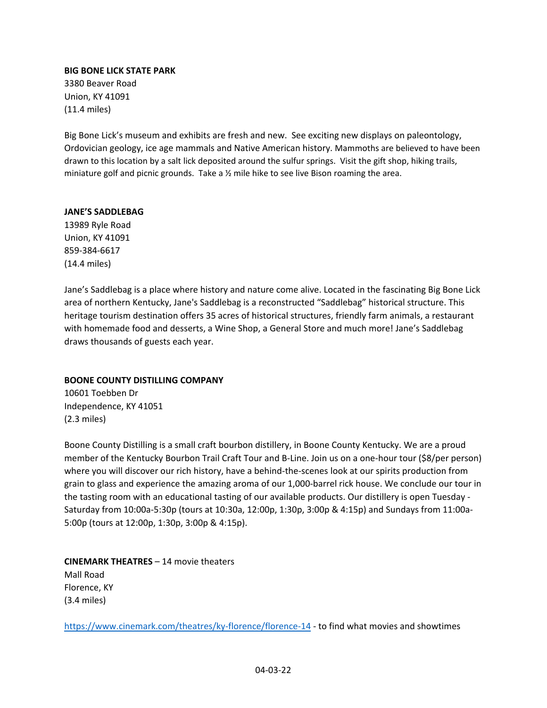## **BIG BONE LICK STATE PARK**

3380 Beaver Road Union, KY 41091 (11.4 miles)

Big Bone Lick's museum and exhibits are fresh and new. See exciting new displays on paleontology, Ordovician geology, ice age mammals and Native American history. Mammoths are believed to have been drawn to this location by a salt lick deposited around the sulfur springs. Visit the gift shop, hiking trails, miniature golf and picnic grounds. Take a ½ mile hike to see live Bison roaming the area.

#### **JANE'S SADDLEBAG**

13989 Ryle Road Union, KY 41091 859‐384‐6617 (14.4 miles)

Jane's Saddlebag is a place where history and nature come alive. Located in the fascinating Big Bone Lick area of northern Kentucky, Jane's Saddlebag is a reconstructed "Saddlebag" historical structure. This heritage tourism destination offers 35 acres of historical structures, friendly farm animals, a restaurant with homemade food and desserts, a Wine Shop, a General Store and much more! Jane's Saddlebag draws thousands of guests each year.

## **BOONE COUNTY DISTILLING COMPANY**

10601 Toebben Dr Independence, KY 41051 (2.3 miles)

Boone County Distilling is a small craft bourbon distillery, in Boone County Kentucky. We are a proud member of the Kentucky Bourbon Trail Craft Tour and B‐Line. Join us on a one‐hour tour (\$8/per person) where you will discover our rich history, have a behind-the-scenes look at our spirits production from grain to glass and experience the amazing aroma of our 1,000‐barrel rick house. We conclude our tour in the tasting room with an educational tasting of our available products. Our distillery is open Tuesday -Saturday from 10:00a‐5:30p (tours at 10:30a, 12:00p, 1:30p, 3:00p & 4:15p) and Sundays from 11:00a‐ 5:00p (tours at 12:00p, 1:30p, 3:00p & 4:15p).

**CINEMARK THEATRES** – 14 movie theaters Mall Road Florence, KY (3.4 miles)

https://www.cinemark.com/theatres/ky-florence/florence-14 - to find what movies and showtimes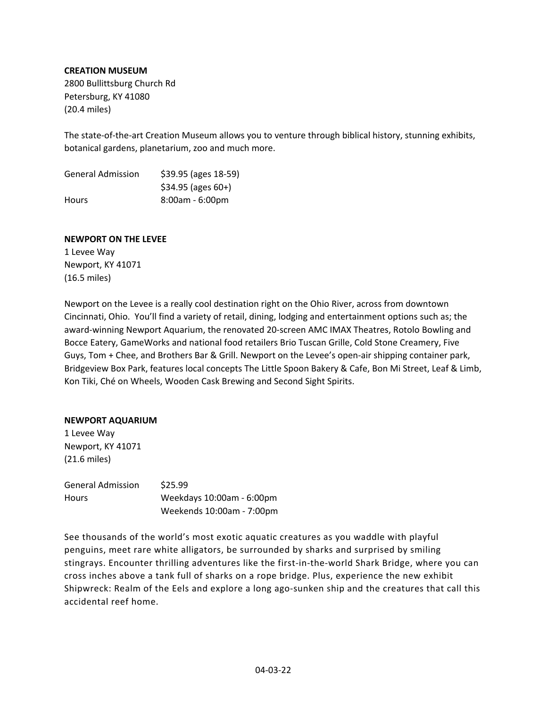### **CREATION MUSEUM**

2800 Bullittsburg Church Rd Petersburg, KY 41080 (20.4 miles)

The state-of-the-art Creation Museum allows you to venture through biblical history, stunning exhibits, botanical gardens, planetarium, zoo and much more.

| <b>General Admission</b> | \$39.95 (ages 18-59) |
|--------------------------|----------------------|
|                          | $$34.95$ (ages 60+)  |
| <b>Hours</b>             | 8:00am - 6:00pm      |

### **NEWPORT ON THE LEVEE**

1 Levee Way Newport, KY 41071 (16.5 miles)

Newport on the Levee is a really cool destination right on the Ohio River, across from downtown Cincinnati, Ohio. You'll find a variety of retail, dining, lodging and entertainment options such as; the award‐winning Newport Aquarium, the renovated 20‐screen AMC IMAX Theatres, Rotolo Bowling and Bocce Eatery, GameWorks and national food retailers Brio Tuscan Grille, Cold Stone Creamery, Five Guys, Tom + Chee, and Brothers Bar & Grill. Newport on the Levee's open‐air shipping container park, Bridgeview Box Park, features local concepts The Little Spoon Bakery & Cafe, Bon Mi Street, Leaf & Limb, Kon Tiki, Ché on Wheels, Wooden Cask Brewing and Second Sight Spirits.

### **NEWPORT AQUARIUM**

1 Levee Way Newport, KY 41071 (21.6 miles)

| <b>General Admission</b> | \$25.99                   |
|--------------------------|---------------------------|
| <b>Hours</b>             | Weekdays 10:00am - 6:00pm |
|                          | Weekends 10:00am - 7:00pm |

See thousands of the world's most exotic aquatic creatures as you waddle with playful penguins, meet rare white alligators, be surrounded by sharks and surprised by smiling stingrays. Encounter thrilling adventures like the first-in-the-world Shark Bridge, where you can cross inches above a tank full of sharks on a rope bridge. Plus, experience the new exhibit Shipwreck: Realm of the Eels and explore a long ago‐sunken ship and the creatures that call this accidental reef home.